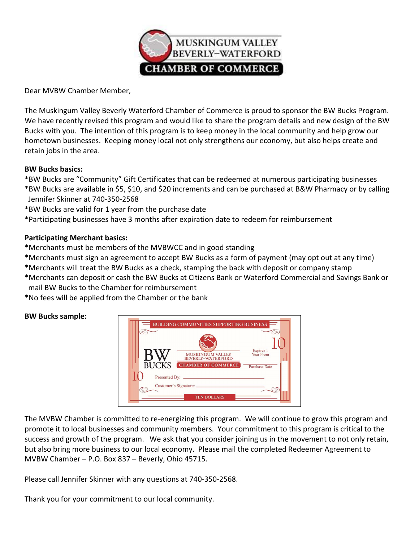

Dear MVBW Chamber Member,

The Muskingum Valley Beverly Waterford Chamber of Commerce is proud to sponsor the BW Bucks Program. We have recently revised this program and would like to share the program details and new design of the BW Bucks with you. The intention of this program is to keep money in the local community and help grow our hometown businesses. Keeping money local not only strengthens our economy, but also helps create and retain jobs in the area.

### BW Bucks basics:

\*BW Bucks are "Community" Gift Certificates that can be redeemed at numerous participating businesses

- \*BW Bucks are available in \$5, \$10, and \$20 increments and can be purchased at B&W Pharmacy or by calling Jennifer Skinner at 740-350-2568
- \*BW Bucks are valid for 1 year from the purchase date

\*Participating businesses have 3 months after expiration date to redeem for reimbursement

### Participating Merchant basics:

\*Merchants must be members of the MVBWCC and in good standing

\*Merchants must sign an agreement to accept BW Bucks as a form of payment (may opt out at any time)

\*Merchants will treat the BW Bucks as a check, stamping the back with deposit or company stamp

\*Merchants can deposit or cash the BW Bucks at Citizens Bank or Waterford Commercial and Savings Bank or mail BW Bucks to the Chamber for reimbursement

\*No fees will be applied from the Chamber or the bank

### BW Bucks sample:



The MVBW Chamber is committed to re-energizing this program. We will continue to grow this program and promote it to local businesses and community members. Your commitment to this program is critical to the success and growth of the program. We ask that you consider joining us in the movement to not only retain, but also bring more business to our local economy. Please mail the completed Redeemer Agreement to MVBW Chamber – P.O. Box 837 – Beverly, Ohio 45715.

Please call Jennifer Skinner with any questions at 740-350-2568.

Thank you for your commitment to our local community.